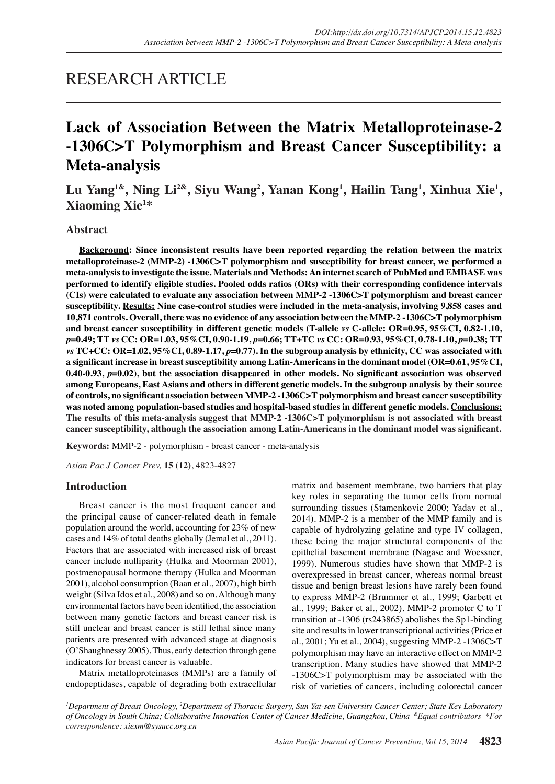## RESEARCH ARTICLE

# **Lack of Association Between the Matrix Metalloproteinase-2 -1306C>T Polymorphism and Breast Cancer Susceptibility: a Meta-analysis**

## Lu Yang<sup>1&</sup>, Ning Li<sup>2&</sup>, Siyu Wang<sup>2</sup>, Yanan Kong<sup>1</sup>, Hailin Tang<sup>1</sup>, Xinhua Xie<sup>1</sup>, **Xiaoming Xie1 \***

## **Abstract**

**Background: Since inconsistent results have been reported regarding the relation between the matrix metalloproteinase-2 (MMP-2) -1306C>T polymorphism and susceptibility for breast cancer, we performed a meta-analysis to investigate the issue. Materials and Methods: An internet search of PubMed and EMBASE was performed to identify eligible studies. Pooled odds ratios (ORs) with their corresponding confidence intervals (CIs) were calculated to evaluate any association between MMP-2 -1306C>T polymorphism and breast cancer susceptibility. Results: Nine case-control studies were included in the meta-analysis, involving 9,858 cases and 10,871 controls. Overall, there was no evidence of any association between the MMP-2 -1306C>T polymorphism and breast cancer susceptibility in different genetic models (T-allele** *vs* **C-allele: OR=0.95, 95%CI, 0.82-1.10,**  *p***=0.49; TT** *vs* **CC: OR=1.03, 95%CI, 0.90-1.19,** *p***=0.66; TT+TC** *vs* **CC: OR=0.93, 95%CI, 0.78-1.10,** *p***=0.38; TT**  *vs* **TC+CC: OR=1.02, 95%CI, 0.89-1.17,** *p***=0.77). In the subgroup analysis by ethnicity, CC was associated with a significant increase in breast susceptibility among Latin-Americans in the dominant model (OR=0.61, 95%CI, 0.40-0.93,** *p***=0.02), but the association disappeared in other models. No significant association was observed among Europeans, East Asians and others in different genetic models. In the subgroup analysis by their source of controls, no significant association between MMP-2 -1306C>T polymorphism and breast cancer susceptibility was noted among population-based studies and hospital-based studies in different genetic models. Conclusions: The results of this meta-analysis suggest that MMP-2 -1306C>T polymorphism is not associated with breast cancer susceptibility, although the association among Latin-Americans in the dominant model was significant.**

**Keywords:** MMP-2 - polymorphism - breast cancer - meta-analysis

*Asian Pac J Cancer Prev,* **15 (12)**, 4823-4827

### **Introduction**

Breast cancer is the most frequent cancer and the principal cause of cancer-related death in female population around the world, accounting for 23% of new cases and 14% of total deaths globally (Jemal et al., 2011). Factors that are associated with increased risk of breast cancer include nulliparity (Hulka and Moorman 2001), postmenopausal hormone therapy (Hulka and Moorman 2001), alcohol consumption (Baan et al., 2007), high birth weight (Silva Idos et al., 2008) and so on. Although many environmental factors have been identified, the association between many genetic factors and breast cancer risk is still unclear and breast cancer is still lethal since many patients are presented with advanced stage at diagnosis (O'Shaughnessy 2005). Thus, early detection through gene indicators for breast cancer is valuable.

Matrix metalloproteinases (MMPs) are a family of endopeptidases, capable of degrading both extracellular

matrix and basement membrane, two barriers that play key roles in separating the tumor cells from normal surrounding tissues (Stamenkovic 2000; Yadav et al., 2014). MMP-2 is a member of the MMP family and is capable of hydrolyzing gelatine and type IV collagen, these being the major structural components of the epithelial basement membrane (Nagase and Woessner, 1999). Numerous studies have shown that MMP-2 is overexpressed in breast cancer, whereas normal breast tissue and benign breast lesions have rarely been found to express MMP-2 (Brummer et al., 1999; Garbett et al., 1999; Baker et al., 2002). MMP-2 promoter C to T transition at -1306 (rs243865) abolishes the Sp1-binding site and results in lower transcriptional activities (Price et al., 2001; Yu et al., 2004), suggesting MMP-2 -1306C>T polymorphism may have an interactive effect on MMP-2 transcription. Many studies have showed that MMP-2 -1306C>T polymorphism may be associated with the risk of varieties of cancers, including colorectal cancer

*1 Department of Breast Oncology, 2 Department of Thoracic Surgery, Sun Yat-sen University Cancer Center; State Key Laboratory of Oncology in South China; Collaborative Innovation Center of Cancer Medicine, Guangzhou, China &Equal contributors \*For correspondence: xiexm@sysucc.org.cn*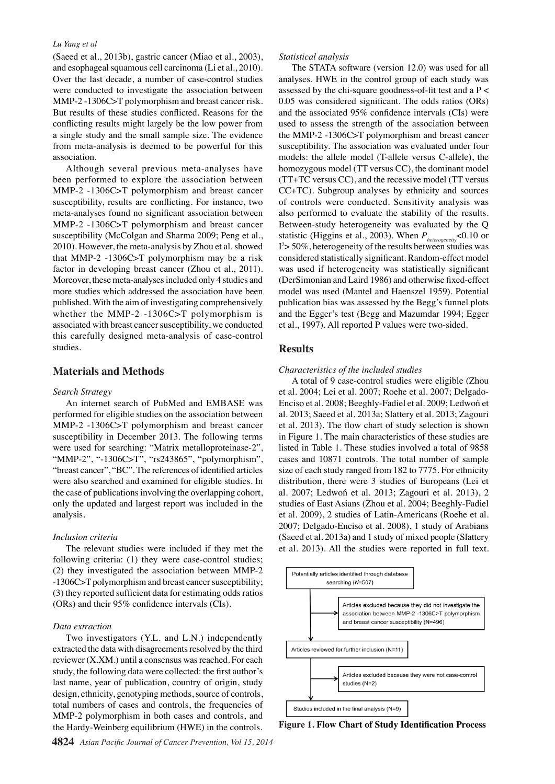#### *Lu Yang et al*

(Saeed et al., 2013b), gastric cancer (Miao et al., 2003), and esophageal squamous cell carcinoma (Li et al., 2010). Over the last decade, a number of case-control studies were conducted to investigate the association between MMP-2 -1306C>T polymorphism and breast cancer risk. But results of these studies conflicted. Reasons for the conflicting results might largely be the low power from a single study and the small sample size. The evidence from meta-analysis is deemed to be powerful for this association.

Although several previous meta-analyses have been performed to explore the association between MMP-2 -1306C>T polymorphism and breast cancer susceptibility, results are conflicting. For instance, two meta-analyses found no significant association between MMP-2 -1306C>T polymorphism and breast cancer susceptibility (McColgan and Sharma 2009; Peng et al., 2010). However, the meta-analysis by Zhou et al. showed that MMP-2 -1306C>T polymorphism may be a risk factor in developing breast cancer (Zhou et al., 2011). Moreover, these meta-analyses included only 4 studies and more studies which addressed the association have been published. With the aim of investigating comprehensively whether the MMP-2 -1306C>T polymorphism is associated with breast cancer susceptibility, we conducted this carefully designed meta-analysis of case-control studies.

## **Materials and Methods**

#### *Search Strategy*

An internet search of PubMed and EMBASE was performed for eligible studies on the association between MMP-2 -1306C>T polymorphism and breast cancer susceptibility in December 2013. The following terms were used for searching: "Matrix metalloproteinase-2", "MMP-2", "-1306C>T", "rs243865", "polymorphism", "breast cancer", "BC". The references of identified articles were also searched and examined for eligible studies. In the case of publications involving the overlapping cohort, only the updated and largest report was included in the analysis.

#### *Inclusion criteria*

The relevant studies were included if they met the following criteria: (1) they were case-control studies; (2) they investigated the association between MMP-2 -1306C>T polymorphism and breast cancer susceptibility; (3) they reported sufficient data for estimating odds ratios (ORs) and their 95% confidence intervals (CIs).

#### *Data extraction*

Two investigators (Y.L. and L.N.) independently extracted the data with disagreements resolved by the third reviewer (X.XM.) until a consensus was reached. For each study, the following data were collected: the first author's last name, year of publication, country of origin, study design, ethnicity, genotyping methods, source of controls, total numbers of cases and controls, the frequencies of MMP-2 polymorphism in both cases and controls, and the Hardy-Weinberg equilibrium (HWE) in the controls.

The STATA software (version 12.0) was used for all analyses. HWE in the control group of each study was assessed by the chi-square goodness-of-fit test and a P < 0.05 was considered significant. The odds ratios (ORs) and the associated 95% confidence intervals (CIs) were used to assess the strength of the association between the MMP-2 -1306C>T polymorphism and breast cancer susceptibility. The association was evaluated under four models: the allele model (T-allele versus C-allele), the homozygous model (TT versus CC), the dominant model (TT+TC versus CC), and the recessive model (TT versus CC+TC). Subgroup analyses by ethnicity and sources of controls were conducted. Sensitivity analysis was also performed to evaluate the stability of the results. Between-study heterogeneity was evaluated by the Q statistic (Higgins et al., 2003). When *Pheterogeneity*<0.10 or I 2 > 50%, heterogeneity of the results between studies was considered statistically significant. Random-effect model was used if heterogeneity was statistically significant (DerSimonian and Laird 1986) and otherwise fixed-effect model was used (Mantel and Haenszel 1959). Potential publication bias was assessed by the Begg's funnel plots and the Egger's test (Begg and Mazumdar 1994; Egger et al., 1997). All reported P values were two-sided.

#### **Results**

#### *Characteristics of the included studies*

A total of 9 case-control studies were eligible (Zhou et al. 2004; Lei et al. 2007; Roehe et al. 2007; Delgado-Enciso et al. 2008; Beeghly-Fadiel et al. 2009; Ledwoń et al. 2013; Saeed et al. 2013a; Slattery et al. 2013; Zagouri et al. 2013). The flow chart of study selection is shown in Figure 1. The main characteristics of these studies are listed in Table 1. These studies involved a total of 9858 cases and 10871 controls. The total number of sample size of each study ranged from 182 to 7775. For ethnicity distribution, there were 3 studies of Europeans (Lei et al. 2007; Ledwoń et al. 2013; Zagouri et al. 2013), 2 studies of East Asians (Zhou et al. 2004; Beeghly-Fadiel et al. 2009), 2 studies of Latin-Americans (Roehe et al. 2007; Delgado-Enciso et al. 2008), 1 study of Arabians (Saeed et al. 2013a) and 1 study of mixed people (Slattery et al. 2013). All the studies were reported in full text.



**Figure 1. Flow Chart of Study Identification Process**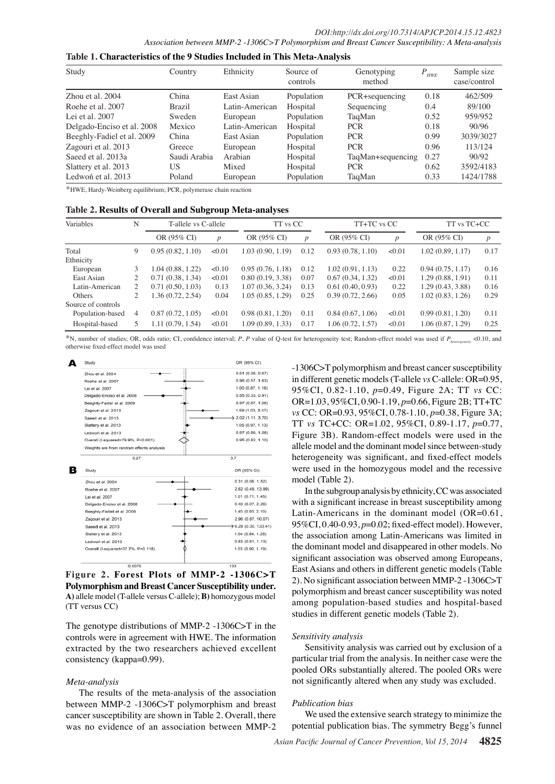| Study                      | Country      | Ethnicity      | Source of<br>controls | Genotyping<br>method | $P_{HWE}$ | Sample size<br>case/control |
|----------------------------|--------------|----------------|-----------------------|----------------------|-----------|-----------------------------|
| Zhou et al. 2004           | China        | East Asian     | Population            | PCR+sequencing       | 0.18      | 462/509                     |
| Roehe et al. 2007          | Brazil       | Latin-American | Hospital              | Sequencing           | 0.4       | 89/100                      |
| Lei et al. 2007            | Sweden       | European       | Population            | TaqMan               | 0.52      | 959/952                     |
| Delgado-Enciso et al. 2008 | Mexico       | Latin-American | Hospital              | <b>PCR</b>           | 0.18      | 90/96                       |
| Beeghly-Fadiel et al. 2009 | China        | East Asian     | Population            | <b>PCR</b>           | 0.99      | 3039/3027                   |
| Zagouri et al. 2013        | Greece       | European       | Hospital              | <b>PCR</b>           | 0.96      | 113/124                     |
| Saeed et al. 2013a         | Saudi Arabia | Arabian        | Hospital              | TaqMan+sequencing    | 0.27      | 90/92                       |
| Slattery et al. 2013       | US           | Mixed          | Hospital              | <b>PCR</b>           | 0.62      | 3592/4183                   |
| Ledwon et al. 2013         | Poland       | European       | Population            | TaqMan               | 0.33      | 1424/1788                   |

**Table 1. Characteristics of the 9 Studies Included in This Meta-Analysis**

\*HWE, Hardy-Weinberg equilibrium; PCR, polymerase chain reaction

**Table 2. Results of Overall and Subgroup Meta-analyses**

| Variables          | N  | T-allele vs C-allele |                  | TT vs CC          |                  | TT+TC vs CC      |                  | TT vs TC+CC      |                  |
|--------------------|----|----------------------|------------------|-------------------|------------------|------------------|------------------|------------------|------------------|
|                    |    | OR (95% CI)          | $\boldsymbol{p}$ | OR (95% CI)       | $\boldsymbol{p}$ | OR (95% CI)      | $\boldsymbol{p}$ | OR (95% CI)      | $\boldsymbol{p}$ |
| Total              | 9  | 0.95(0.82, 1.10)     | < 0.01           | 1.03 (0.90, 1.19) | 0.12             | 0.93(0.78, 1.10) | < 0.01           | 1.02(0.89, 1.17) | 0.17             |
| Ethnicity          |    |                      |                  |                   |                  |                  |                  |                  |                  |
| European           | 3  | 1.04(0.88, 1.22)     | < 0.10           | 0.95(0.76, 1.18)  | 0.12             | 1.02(0.91, 1.13) | 0.22             | 0.94(0.75, 1.17) | 0.16             |
| East Asian         | 2  | 0.71(0.38, 1.34)     | < 0.01           | 0.80(0.19, 3.38)  | 0.07             | 0.67(0.34, 1.32) | < 0.01           | 1.29(0.88, 1.91) | 0.11             |
| Latin-American     | 2  | 0.71(0.50, 1.03)     | 0.13             | 1.07(0.36, 3.24)  | 0.13             | 0.61(0.40, 0.93) | 0.22             | 1.29(0.43, 3.88) | 0.16             |
| Others             | 2  | 1.36(0.72, 2.54)     | 0.04             | 1.05 (0.85, 1.29) | 0.25             | 0.39(0.72, 2.66) | 0.05             | 1.02(0.83, 1.26) | 0.29             |
| Source of controls |    |                      |                  |                   |                  |                  |                  |                  |                  |
| Population-based   | 4  | 0.87(0.72, 1.05)     | < 0.01           | 0.98(0.81, 1.20)  | 0.11             | 0.84(0.67, 1.06) | < 0.01           | 0.99(0.81, 1.20) | 0.11             |
| Hospital-based     | 5. | 1.11(0.79, 1.54)     | < 0.01           | 1.09 (0.89, 1.33) | 0.17             | 1.06(0.72, 1.57) | < 0.01           | 1.06(0.87, 1.29) | 0.25             |

\*N, number of studies; OR, odds ratio; CI, confidence interval; *P*, *P* value of Q-test for heterogeneity test; Random-effect model was used if *Pheterogeneity* <0.10, and otherwise fixed-effect model was used



**Figure 2. Forest Plots of MMP-2 -1306C>T Polymorphism and Breast Cancer Susceptibility under. A)** allele model (T-allele versus C-allele); **B)** homozygous model (TT versus CC)

The genotype distributions of MMP-2 -1306C>T in the controls were in agreement with HWE. The information extracted by the two researchers achieved excellent consistency (kappa=0.99).

#### *Meta-analysis*

The results of the meta-analysis of the association between MMP-2 -1306C>T polymorphism and breast cancer susceptibility are shown in Table 2. Overall, there was no evidence of an association between MMP-2

-1306C>T polymorphism and breast cancer susceptibility in different genetic models (T-allele *vs* C-allele: OR=0.95, 95%CI, 0.82-1.10, *p*=0.49, Figure 2A; TT *vs* CC: OR=1.03, 95%CI, 0.90-1.19, *p*=0.66, Figure 2B; TT+TC *vs* CC: OR=0.93, 95%CI, 0.78-1.10, *p*=0.38, Figure 3A; TT *vs* TC+CC: OR=1.02, 95%CI, 0.89-1.17, *p*=0.77, Figure 3B). Random-effect models were used in the allele model and the dominant model since between-study heterogeneity was significant, and fixed-effect models were used in the homozygous model and the recessive model (Table 2).

In the subgroup analysis by ethnicity, CC was associated with a significant increase in breast susceptibility among Latin-Americans in the dominant model (OR=0.61, 95%CI, 0.40-0.93, *p*=0.02; fixed-effect model). However, the association among Latin-Americans was limited in the dominant model and disappeared in other models. No significant association was observed among Europeans, East Asians and others in different genetic models (Table 2). No significant association between MMP-2 -1306C>T polymorphism and breast cancer susceptibility was noted among population-based studies and hospital-based studies in different genetic models (Table 2).

#### *Sensitivity analysis*

Sensitivity analysis was carried out by exclusion of a particular trial from the analysis. In neither case were the pooled ORs substantially altered. The pooled ORs were not significantly altered when any study was excluded.

#### *Publication bias*

We used the extensive search strategy to minimize the potential publication bias. The symmetry Begg's funnel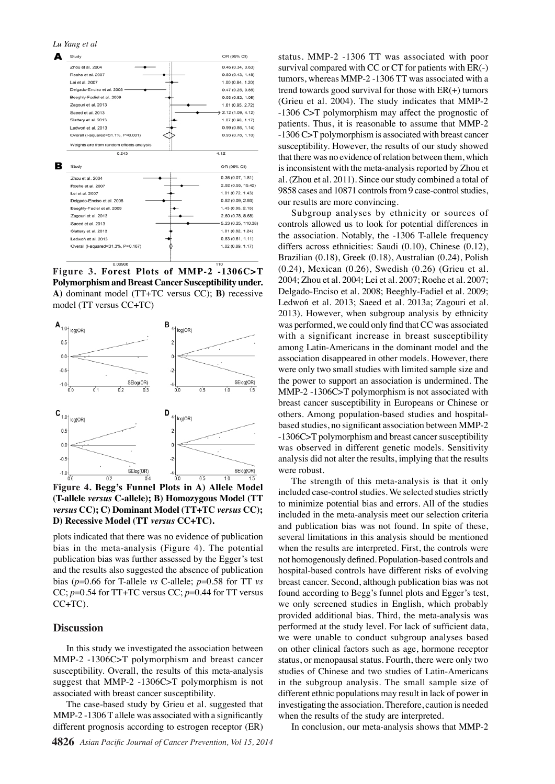*Lu Yang et al*



**Figure 3. Forest Plots of MMP-2 -1306C>T Polymorphism and Breast Cancer Susceptibility under. A)** dominant model (TT+TC versus CC); **B)** recessive model (TT versus CC+TC)



**(T-allele** *versus* **C-allele); B) Homozygous Model (TT**  *versus* **CC); C) Dominant Model (TT+TC** *versus* **CC); D) Recessive Model (TT** *versus* **CC+TC).**

plots indicated that there was no evidence of publication bias in the meta-analysis (Figure 4). The potential publication bias was further assessed by the Egger's test and the results also suggested the absence of publication bias (*p*=0.66 for T-allele *vs* C-allele; *p*=0.58 for TT *vs*  CC; *p*=0.54 for TT+TC versus CC; *p*=0.44 for TT versus  $CC+TC$ ).

### **Discussion**

In this study we investigated the association between MMP-2 -1306C>T polymorphism and breast cancer susceptibility. Overall, the results of this meta-analysis suggest that MMP-2 -1306C>T polymorphism is not associated with breast cancer susceptibility.

The case-based study by Grieu et al. suggested that MMP-2-1306 T allele was associated with a significantly different prognosis according to estrogen receptor (ER)

status. MMP-2 -1306 TT was associated with poor survival compared with CC or CT for patients with ER(-) tumors, whereas MMP-2 -1306 TT was associated with a trend towards good survival for those with  $ER(+)$  tumors (Grieu et al. 2004). The study indicates that MMP-2 -1306 C>T polymorphism may affect the prognostic of patients. Thus, it is reasonable to assume that MMP-2 -1306 C>T polymorphism is associated with breast cancer susceptibility. However, the results of our study showed that there was no evidence of relation between them, which is inconsistent with the meta-analysis reported by Zhou et al. (Zhou et al. 2011). Since our study combined a total of 9858 cases and 10871 controls from 9 case-control studies, our results are more convincing.

Subgroup analyses by ethnicity or sources of controls allowed us to look for potential differences in the association. Notably, the -1306 T-allele frequency differs across ethnicities: Saudi (0.10), Chinese (0.12), Brazilian (0.18), Greek (0.18), Australian (0.24), Polish (0.24), Mexican (0.26), Swedish (0.26) (Grieu et al. 2004; Zhou et al. 2004; Lei et al. 2007; Roehe et al. 2007; Delgado-Enciso et al. 2008; Beeghly-Fadiel et al. 2009; Ledwoń et al. 2013; Saeed et al. 2013a; Zagouri et al. 2013). However, when subgroup analysis by ethnicity was performed, we could only find that CC was associated with a significant increase in breast susceptibility among Latin-Americans in the dominant model and the association disappeared in other models. However, there were only two small studies with limited sample size and the power to support an association is undermined. The MMP-2 -1306C>T polymorphism is not associated with breast cancer susceptibility in Europeans or Chinese or others. Among population-based studies and hospitalbased studies, no significant association between MMP-2 -1306C>T polymorphism and breast cancer susceptibility was observed in different genetic models. Sensitivity analysis did not alter the results, implying that the results were robust.

The strength of this meta-analysis is that it only included case-control studies. We selected studies strictly to minimize potential bias and errors. All of the studies included in the meta-analysis meet our selection criteria and publication bias was not found. In spite of these, several limitations in this analysis should be mentioned when the results are interpreted. First, the controls were not homogenously defined. Population-based controls and hospital-based controls have different risks of evolving breast cancer. Second, although publication bias was not found according to Begg's funnel plots and Egger's test, we only screened studies in English, which probably provided additional bias. Third, the meta-analysis was performed at the study level. For lack of sufficient data, we were unable to conduct subgroup analyses based on other clinical factors such as age, hormone receptor status, or menopausal status. Fourth, there were only two studies of Chinese and two studies of Latin-Americans in the subgroup analysis. The small sample size of different ethnic populations may result in lack of power in investigating the association. Therefore, caution is needed when the results of the study are interpreted.

In conclusion, our meta-analysis shows that MMP-2